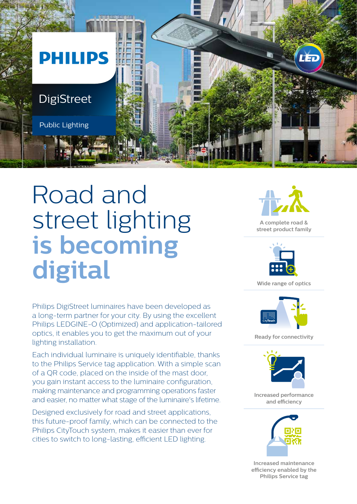

## Road and street lighting **is becoming digital**

Philips DigiStreet luminaires have been developed as a long-term partner for your city. By using the excellent Philips LEDGINE-O (Optimized) and application-tailored optics, it enables you to get the maximum out of your lighting installation.

Each individual luminaire is uniquely identifiable, thanks to the Philips Service tag application. With a simple scan of a QR code, placed on the inside of the mast door, you gain instant access to the luminaire configuration, making maintenance and programming operations faster and easier, no matter what stage of the luminaire's lifetime.

Designed exclusively for road and street applications, this future-proof family, which can be connected to the Philips CityTouch system, makes it easier than ever for cities to switch to long-lasting, efficient LED lighting.



**A complete road & street product family**



**Wide range of optics**



**Ready for connectivity**



**Increased performance and efficiency**



**Increased maintenance efficiency enabled by the Philips Service tag**